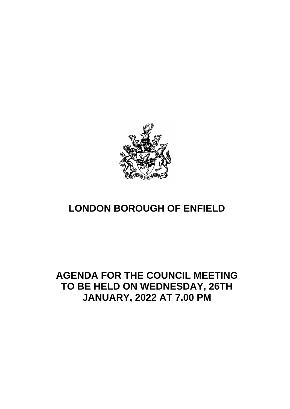

# **LONDON BOROUGH OF ENFIELD**

## **AGENDA FOR THE COUNCIL MEETING TO BE HELD ON WEDNESDAY, 26TH JANUARY, 2022 AT 7.00 PM**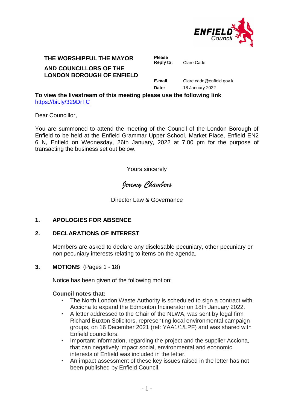

### **THE WORSHIPFUL THE MAYOR Please**

#### **AND COUNCILLORS OF THE LONDON BOROUGH OF ENFIELD**

**Reply to:** Clare Cade

**E-mail** Clare.cade@enfield.gov.k **Date:** 18 January 2022

**To view the livestream of this meeting please use the following link**  <https://bit.ly/329DrTC>

Dear Councillor,

You are summoned to attend the meeting of the Council of the London Borough of Enfield to be held at the Enfield Grammar Upper School, Market Place, Enfield EN2 6LN, Enfield on Wednesday, 26th January, 2022 at 7.00 pm for the purpose of transacting the business set out below.

Yours sincerely

*Jeremy Chambers*

Director Law & Governance

#### **1. APOLOGIES FOR ABSENCE**

#### **2. DECLARATIONS OF INTEREST**

Members are asked to declare any disclosable pecuniary, other pecuniary or non pecuniary interests relating to items on the agenda.

#### **3. MOTIONS** (Pages 1 - 18)

Notice has been given of the following motion:

#### **Council notes that:**

- The North London Waste Authority is scheduled to sign a contract with Acciona to expand the Edmonton Incinerator on 18th January 2022.
- A letter addressed to the Chair of the NLWA, was sent by legal firm Richard Buxton Solicitors, representing local environmental campaign groups, on 16 December 2021 (ref: YAA1/1/LPF) and was shared with Enfield councillors.
- Important information, regarding the project and the supplier Acciona, that can negatively impact social, environmental and economic interests of Enfield was included in the letter.
- An impact assessment of these key issues raised in the letter has not been published by Enfield Council.